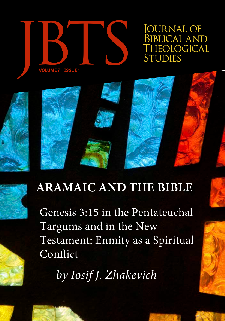

*OURNAL OF* Biblical and<br>Theological



Genesis 3:15 in the Pentateuchal Targums and in the New Testament: Enmity as a Spiritual Conflict

*by Iosif J. Zhakevich*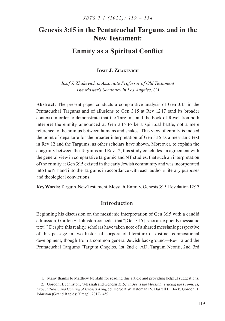# **Genesis 3:15 in the Pentateuchal Targums and in the New Testament:**

# **Enmity as a Spiritual Conflict**

**Iosif J. Zhakevich**

*Iosif J. Zhakevich is Associate Professor of Old Testament The Master's Seminary in Los Angeles, CA*

**Abstract:** The present paper conducts a comparative analysis of Gen 3:15 in the Pentateuchal Targums and of allusions to Gen 3:15 at Rev 12:17 (and its broader context) in order to demonstrate that the Targums and the book of Revelation both interpret the enmity announced at Gen 3:15 to be a spiritual battle, not a mere reference to the animus between humans and snakes. This view of enmity is indeed the point of departure for the broader interpretation of Gen 3:15 as a messianic text in Rev 12 and the Targums, as other scholars have shown. Moreover, to explain the congruity between the Targums and Rev 12, this study concludes, in agreement with the general view in comparative targumic and NT studies, that such an interpretation of the enmity at Gen 3:15 existed in the early Jewish community and was incorporated into the NT and into the Targums in accordance with each author's literary purposes and theological convictions.

**Key Words:** Targum, New Testament, Messiah, Enmity, Genesis 3:15, Revelation 12:17

# **Introduction1**

Beginning his discussion on the messianic interpretation of Gen 3:15 with a candid admission, Gordon H. Johnston concedes that "[Gen 3:15] is not an explicitly messianic text."2 Despite this reality, scholars have taken note of a shared messianic perspective of this passage in two historical corpora of literature of distinct compositional development, though from a common general Jewish background—Rev 12 and the Pentateuchal Targums (Targum Onqelos, 1st–2nd c. AD; Targum Neofiti, 2nd–3rd

<sup>1</sup>. Many thanks to Matthew Nerdahl for reading this article and providing helpful suggestions.

<sup>2</sup>. Gordon H. Johnston, "Messiah and Genesis 3:15," in *Jesus the Messiah: Tracing the Promises, Expectations, and Coming of Israel's King*, ed. Herbert W. Bateman IV, Darrell L. Bock, Gordon H. Johnston (Grand Rapids: Kregel, 2012), 459.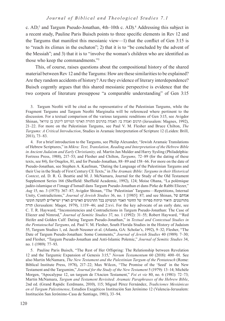c. AD;<sup>3</sup> and Targum Pseudo-Jonathan, 4th–10th c. AD).<sup>4</sup> Addressing this subject in a recent study, Pauline Paris Buisch points to three specific elements in Rev 12 and the Targums that manifest this messianic view—1) that the conflict of Gen 3:15 is to "reach its climax in the eschaton"; 2) that it is to "be concluded by the advent of the Messiah"; and 3) that it is to "involve the woman's children who are identified as those who keep the commandments."5

This, of course, raises questions about the compositional history of the shared material between Rev 12 and the Targums: How are these similarities to be explained? Are they random accidents of history? Are they evidence of literary interdependence? Buisch cogently argues that this shared messianic perspective is evidence that the two corpora of literature presuppose "a comparable understanding" of Gen 3:15

3. Targum Neofiti will be cited as the representative of the Palestinian Targums, while the Fragment Targums and Targum Neofiti Marginalia will be referenced where pertinent to the discussion. For a textual comparison of the various targumic renditions of Gen 3:15, see Avigdor Shinan, ליונתן בן עוזיאל המויחס התורה האגדה בתרגום התורה הארמי המויחס היונתן בן עוזיאל (Jerusalem: Magnes, 1992), 21–22. For more on the Palestinian Targums, see Paul V. M. Flesher and Bruce Chilton, *The Targums: A Critical Introduction*, Studies in Aramaic Interpretation of Scripture 12 (Leiden: Brill, 2011), 73–83.

4. For a brief introduction to the Targums, see Philip Alexander, "Jewish Aramaic Translations of Hebrew Scriptures," in *Mikra: Text, Translation, Reading and Interpretation of the Hebrew Bible in Ancient Judaism and Early Christianity,* ed. Martin Jan Mulder and Harry Sysling (Philadelphia: Fortress Press, 1988), 217–53; and Flesher and Chilton, *Targums,* 72–89 (for the dating of these texts, see 84), for Onqelos, 81, and for Pseudo-Jonathan, 88–89 and 158–66. For more on the date of Pseudo-Jonathan, see Stephen A. Kaufman, "Dating the Language of the Palestinian Targums and their Use in the Study of First Century CE Texts," in *The Aramaic Bible: Targums in their Historical Context*, ed. D. R. G. Beattie and M. J. McNamara, Journal for the Study of the Old Testament Supplement Series 166 (Sheffield: Sheffield Academic, 1992), 124; Moise Ohana, "La polémique judéo-islamique et l'image d'Ismaël dans Targum Pseudo-Jonathan et dans Pirke de Rabbi Eliezer," *Aug* 15, no. 3 (1975): 367–87; Avigdor Shinan, "The 'Palestinian' Targums––Repetitions, Internal Unity, Contradictions," *Journal of Jewish Studies* 36, no. 1 [1985]: 87; and see Shinan, של אגדתם מתורגמנים: תיאור וניתוח ספרותי של החומר האגדי המשוקע בכל התרגומים הארמיים הארץ ישראליים לחמשה חומשי תורה) Jerusalem: Maqor, 1979), 1:119–46; and 2:xvi. For the key advocate of an early date, see C. T. R. Hayward, "Inconsistencies and Contradictions in Targum Pseudo-Jonathan: The Case of Eliezer and Nimrod," *Journal of Semitic Studies* 37, no. 1 (1992): 31–55; Robert Hayward, "'Red Heifer and Golden Calf: Dating Targum Pseudo-Jonathan," in *Textual and Contextual Studies in the Pentateuchal Targums*, ed. Paul V. M. Flesher, South Florida Studies in the History of Judaism 55, Targum Studies 1, ed. Jacob Neusner et al. (Atlanta, GA: Scholar's, 1992), 9–32; Flesher, "The Date of Targum Pseudo-Jonathan: Some Comments," *Journal of Jewish Studies* 40 (1989): 7–30; and Flesher, "Targum Pseudo-Jonathan and Anti-Islamic Polemic," *Journal of Semitic Studies* 34, no. 1 (1989): 77–93.

5. Pauline Paris Buisch, "The Rest of Her Offspring: The Relationship between Revelation 12 and the Targumic Expansion of Genesis 3:15," *Novum Testamentum* 60 (2018): 400–01. See also Martin McNamara, *The New Testament and the Palestinian Targum of the Pentateuch* (Rome: Biblical Institute Press, 1978), 217–22; Max Wilcox, "The Promise of the 'Seed' in the New Testament and the Targumim," *Journal for the Study of the New Testament* 5 (1979): 13–14; Michèle Morgen, "Apocalypse 12, un targum de l'Ancien Testament," *Foi et vie* 80, no. 6 (1981): 72–73; Martin McNamara, *Targum and Testament Revisited: Aramaic Paraphrases of the Hebrew Bible*, 2nd ed. (Grand Rapids: Eerdmans, 2010), 115; Miguel Pérez Fernández, *Tradiciones Mesiánicas en el Targum Palestinense*, Estudios Exegéticos Institución San Jerónimo 12 (Valencia-Jerusalem: Institución San Jerónimo-Casa de Santiago, 1981), 33–94.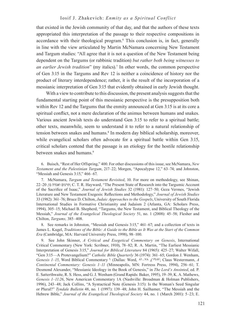#### Iosif J. Zhakevich: *Enmity as a Spiritual Conflict*

that existed in the Jewish community of that day, and that the authors of these texts appropriated this interpretation of the passage to their respective compositions in accordance with their theological program.6 This conclusion is, in fact, generally in line with the view articulated by Martin McNamara concerning New Testament and Targum studies: "All agree that it is not a question of the New Testament being dependent on the Targums (or rabbinic tradition) *but rather both being witnesses to*  an earlier Jewish tradition" (my italics).<sup>7</sup> In other words, the common perspective of Gen 3:15 in the Targums and Rev 12 is neither a coincidence of history nor the product of literary interdependence; rather, it is the result of the incorporation of a messianic interpretation of Gen 3:15 that evidently obtained in early Jewish thought.

With a view to contribute to this discussion, the present analysis suggests that the fundamental starting point of this messianic perspective is the presupposition both within Rev 12 and the Targums that the enmity announced at Gen 3:15 is at its core a spiritual conflict, not a mere declaration of the animus between humans and snakes. Various ancient Jewish texts do understand Gen 3:15 to refer to a spiritual battle; other texts, meanwhile, seem to understand it to refer to a natural relationship of tension between snakes and humans.<sup>8</sup> In modern day biblical scholarship, moreover, while evangelical scholars often advocate for a spiritual battle within Gen 3:15, critical scholars contend that the passage is an etiology for the hostile relationship between snakes and humans.<sup>9</sup>

6. Buisch, "Rest of Her Offspring," 400. For other discussions of this issue, see McNamara, *New Testament and the Palestinian Targum*, 217–22; Morgen, "Apocalypse 12," 63–74; and Johnston, "Messiah and Genesis 3:15," 466–67.

7. McNamara, *Targum and Testament Revisited*, 10. For more on methodology, see Shinan, 22–20 ,בו ואגדה תרגום ;C. T. R. Hayward, "The Present State of Research into the Targumic Account of the Sacrifice of Isaac," *Journal of Jewish Studies* 32 (1981): 127–50; Geza Vermes, "Jewish Literature and New Testament Exegesis: Reflections and Methodology," *Journal of Jewish Studies* 33 (1982): 361–76; Bruce D. Chilton, *Judaic Approaches to the Gospels*, University of South Florida International Studies in Formative Christianity and Judaism 2 (Atlanta, GA: Scholars Press, 1994), 305–15; Michael B. Shepherd, "Targums, the New Testament, and Biblical Theology of the Messiah," *Journal of the Evangelical Theological Society* 51, no. 1 (2008): 45–58; Flesher and Chilton, *Targums,* 385–408.

8. See remarks in Johnston, "Messiah and Genesis 3:15," 461–67; and a collection of texts in James L. Kugel, *Traditions of the Bible: A Guide to the Bible as It Was at the Start of the Common Era* (Cambridge, MA: Harvard University Press, 1998), 98–100.

9. See John Skinner, *A Critical and Exegetical Commentary on Genesis*, International Critical Commentary (New York: Scribner, 1910), 78–82; R. A. Martin, "The Earliest Messianic Interpretation of Genesis 3:15," *Journal for Biblical Literature* 84 (1965): 425–27; Walter Wifall, "Gen 3:15—A Protevangelium?" *Catholic Bible Quarterly* 36 (1974): 361–65; Gordon J. Wenham, *Genesis 1–15*, Word Biblical Commentary 1 (Dallas: Word, 81–78 ,)1987; Claus Westermann, *A Continental Commentary: Genesis 1–11* (Minneapolis, MN: Fortress Press, 1994), 256–61; T. Desmond Alexander, "Messianic Ideology in the Book of Genesis," in *The Lord's Anointed*, ed. P. E. Satterthwaite, R. S. Hess, and G. J. Wenham (Grand Rapids: Baker, 1995), 19–39; K. A. Mathews, *Genesis 1–11:26*, New American Commentary 1A (Nashville: Broadman & Holman Publishers, 1996), 243–48; Jack Collins, "A Syntactical Note (Genesis 3:15): Is the Woman's Seed Singular or Plural?" *Tyndale Bulletin* 48, no. 1 (1997): 139–48; John H. Sailhamer, "The Messiah and the Hebrew Bible," *Journal of the Evangelical Theological Society* 44, no. 1 (March 2001): 5–23; E.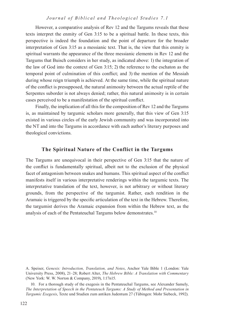However, a comparative analysis of Rev 12 and the Targums reveals that these texts interpret the enmity of Gen 3:15 to be a spiritual battle. In these texts, this perspective is indeed the foundation and the point of departure for the broader interpretation of Gen 3:15 as a messianic text. That is, the view that this enmity is spiritual warrants the appearance of the three messianic elements in Rev 12 and the Targums that Buisch considers in her study, as indicated above: 1) the integration of the law of God into the context of Gen 3:15; 2) the reference to the eschaton as the temporal point of culmination of this conflict; and 3) the mention of the Messiah during whose reign triumph is achieved. At the same time, while the spiritual nature of the conflict is presupposed, the natural animosity between the actual reptile of the Serpentes suborder is not always denied; rather, this natural animosity is in certain cases perceived to be a manifestation of the spiritual conflict.

Finally, the implication of all this for the composition of Rev 12 and the Targums is, as maintained by targumic scholars more generally, that this view of Gen 3:15 existed in various circles of the early Jewish community and was incorporated into the NT and into the Targums in accordance with each author's literary purposes and theological convictions.

## **The Spiritual Nature of the Conflict in the Targums**

The Targums are unequivocal in their perspective of Gen 3:15 that the nature of the conflict is fundamentally spiritual, albeit not to the exclusion of the physical facet of antagonism between snakes and humans. This spiritual aspect of the conflict manifests itself in various interpretative renderings within the targumic texts. The interpretative translation of the text, however, is not arbitrary or without literary grounds, from the perspective of the targumist. Rather, each rendition in the Aramaic is triggered by the specific articulation of the text in the Hebrew. Therefore, the targumist derives the Aramaic expansion from within the Hebrew text, as the analysis of each of the Pentateuchal Targums below demonstrates.<sup>10</sup>

10. For a thorough study of the exegesis in the Pentateuchal Targums, see Alexander Samely, *The Interpretation of Speech in the Pentateuch Targums: A Study of Method and Presentation in Targumic Exegesis*, Texte und Studien zum antiken Judentum 27 (Tübingen: Mohr Siebeck, 1992).

A. Speiser, *Genesis: Introduction, Translation, and Notes*, Anchor Yale Bible 1 (London: Yale University Press, 2008), 21–28; Robert Alter, *The Hebrew Bible: A Translation with Commentary* (New York: W. W. Norton & Company, 2019), 1:17n15.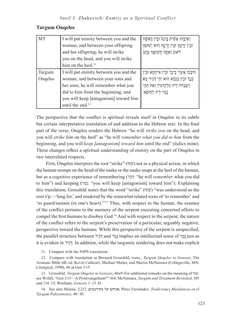# **Targum Onqelos**

| <b>MT</b> | I will put enmity between you and the | וְאֵיבָהוּ אָשִׂית בָּינְדְ וּבִין הָאִשָּׁה     |
|-----------|---------------------------------------|--------------------------------------------------|
|           | woman, and between your offspring     | וּבִין זַרְעֲךָ וּבִין זַרְעֶהּ הָוּא יְשׁוּפְךָ |
|           | and her offspring; he will strike     | רֹאשׁ וְאַתָּה תְּשׁוּכֶּנּוּ עֲקָב              |
|           | you on the head, and you will strike  |                                                  |
|           | him on the heel. <sup>11</sup>        |                                                  |
| Targum    | I will put enmity between you and the | וּדכָבוּ אֲשֵׂוֵי בֵינָך וּבֵין אִיתְתָא וּבֵין  |
| Ongelos   | woman, and between your sons and      | ּבְנָךְ וּבֵין בְנַהָא הוּא יְהֵי דְכִיר מָא     |
|           | her sons; he will remember what you   | דַעֲבַדת לֵיה מִלְקַדמִין וְאַת תְהֵי            |
|           | did to him from the beginning, and    | נַטַר לֵיה לְסופָא:                              |
|           | you will keep [antagonism] toward him |                                                  |
|           | until the end. <sup>12</sup>          |                                                  |

The perspective that the conflict is spiritual reveals itself in Onqelos in its subtle but certain interpretative translation of and addition to the Hebrew text. In the final part of the verse, Onqelos renders the Hebrew "he will *strike you* on the head, and you will *strike him* on the heel" as "he will *remember what you did to him* from the beginning, and you will *keep [antagonism] toward him* until the end" (italics mine). These changes reflect a spiritual understanding of enmity on the part of Onqelos in two interrelated respects.

First, Onqelos interprets the root "strike" (שׁוּף) not as a physical action, in which the human stomps on the head of the snake or the snake snaps at the heel of the human, but as a cognitive experience of remembering (דכר:" he will *remember* what you did to him") and keeping (נטר:" you will keep [antagonism] toward him"). Explaining this translation, Grossfeld states that the word "strike" (שׁוּף) "was understood as the root š'p—'long for,' and rendered by the somewhat related roots of 'to remember' and 'to guard/sustain (in one's heart).'"13 Thus, with respect to the human, the essence of the conflict pertains to the memory of the serpent executing concerted efforts to compel the first humans to disobey God.14 And with respect to the serpent, the nature of the conflict refers to the serpent's preservation of a particular, arguably negative, perspective toward the humans. While this perspective of the serpent is unspecified, the parallel structure between ירִכְד and רַטָנ implies an intellectual sense of רַטָנ just as it is evident in ירִכְד. In addition, while the targumic rendering does not make explicit

11. Compare with the NJPS translation.

12. Compare with translation in Bernard Grossfeld, trans., *Targum Onqelos to Genesis*, The Aramaic Bible 6B, ed. Kevin Cathcart, Michael Maher, and Martin McNamara (Collegeville, MN: Liturgical, 1990), 46 at Gen 3:15.

13. Grossfeld, *Targum Onqelos to Genesis*, 46n9. For additional remarks on the meaning of וףּשׁ, see Wifall, "Gen 3:15—A Protevangelium?" 364; McNamara, *Targum and Testament Revisited*, 105 and 114–15; Wenham, *Genesis 1–15*, 81.

14. See also Shinan, 2:212 ,מתורגמנים של אגדתם ;Pérez Fernández, *Tradiciones Mesiánicas en el Targum Palestinense*, 40–45.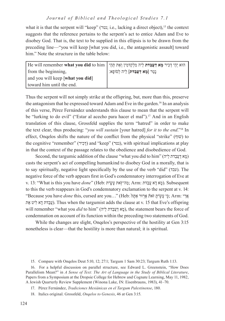what it is that the serpent will "keep" (נטר; i.e., lacking a direct object),<sup>15</sup> the context suggests that the reference pertains to the serpent's act to entice Adam and Eve to disobey God. That is, the text to be supplied in this ellipsis is to be drawn from the preceding line—"you will keep [what you did, i.e., the antagonistic assault] toward him." Note the structure in the table below:

| He will remember <b>what you did</b> to him   הוא יְהֵי דְכִיר <b>מָא דַעֲבַדת</b> לֵיה מִלְקַדמִין וְאַת תְהֵי |                                     |  |
|-----------------------------------------------------------------------------------------------------------------|-------------------------------------|--|
| from the beginning,                                                                                             | נְטַר [מָא דַעֲבַדת] לֵיה לְסוֹפָא: |  |
| and you will keep [what you did]                                                                                |                                     |  |
| toward him until the end.                                                                                       |                                     |  |

Thus the serpent will not simply strike at the offspring, but, more than this, preserve the antagonism that he expressed toward Adam and Eve in the garden.16 In an analysis of this verse, Pérez Fernández understands this clause to mean that the serpent will be "lurking to do evil" ("Estar al acecho para hacer el mal").<sup>17</sup> And in an English translation of this clause, Grossfeld supplies the term "hatred" in order to make the text clear, thus producing: "*you will sustain* [your hatred] *for it to the end*."18 In effect, Onqelos shifts the nature of the conflict from the physical "strike" (שׁוּף) to the cognitive "remember" (דְכִיר) and "keep" (נטר), with spiritual implications at play in that the context of the passage relates to the obedience and disobedience of God.

Second, the targumic addition of the clause "what you did to him" (יהֵל דתַבֲעַד אָמ ( casts the serpent's act of compelling humankind to disobey God in a morally, that is to say spiritually, negative light specifically by the use of the verb "did" (עבד). The negative force of the verb appears first in God's condemnatory interrogation of Eve at v. 13: "What is this you have *done*" (Heb: מה־זאת עֲשִׂית; Arm: מהיה א LSubsequent to this the verb reappears in God's condemnatory exclamation to the serpent at v. 14: אֲרֵ י :Arm; ֣כִּ ֣ י עָשִׂ ֤ יתָ ז ֹּאת֒ ָארּור ַאתָּה֙ :Heb…" (you are cursed ,this *done* have you Because" עֵבָדת דַא לִיט אַתּ (hus when the targumist adds the clause at v. 15 that Eve's offspring will remember "what you *did* to him" (מָא דַעֲבָדת לֵיה), the statement bears the force of condemnation on account of its function within the preceding two statements of God.

While the changes are slight, Onqelos's perspective of the hostility at Gen 3:15 nonetheless is clear—that the hostility is more than natural; it is spiritual.

<sup>15</sup>. Compare with Onqelos Deut 5:10, 12; 27:1; Targum 1 Sam 30:23; Targum Ruth 1:13.

<sup>16</sup>. For a helpful discussion on parallel structure, see Edward L. Greenstein, "How Does Parallelism Mean?" in *A Sense of Text: The Art of Language in the Study of Biblical Literature*, Papers from a Symposium at the Dropsie College for Hebrew and Cognate Learning, May 11, 1982, A Jewish Quarterly Review Supplement (Winona Lake, IN: Eisenbrauns, 1983), 41–70.

<sup>17</sup>. Pérez Fernández, *Tradiciones Mesiánicas en el Targum Palestinense*, 180.

<sup>18</sup>. Italics original. Grossfeld, *Onqelos to Genesis*, 46 at Gen 3:15.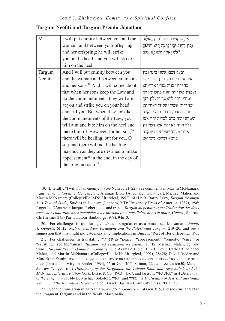| <b>MT</b> | I will put enmity between you and the<br>woman, and between your offspring<br>and her offspring; he will strike<br>you on the head, and you will strike<br>him on the heel. | וְאֵיבָהוּ אֲשִׂית בַּינְךָ וּבִין הָאִשָּׁה<br>וּבִין זַרְעֲךָ וּבִין זַרְעֶהּ הוּא יְשׁוּפְךָ<br>רֹאשׁ וְאַתָּה תְשׁוּכֶּנּוּ עֲקִב |
|-----------|-----------------------------------------------------------------------------------------------------------------------------------------------------------------------------|---------------------------------------------------------------------------------------------------------------------------------------|
| Targum    | And I will put enmity between you                                                                                                                                           | ובעל דבבו אשוי בינך ובין                                                                                                              |
| Neofiti   | and the woman and between your sons                                                                                                                                         | איתתה ובין בניך ובין בנה ויהוי                                                                                                        |
|           | and her sons. <sup>19</sup> And it will come about                                                                                                                          | כד יהוון בניה נטרין אורייתא                                                                                                           |
|           | that when her sons keep the Law and                                                                                                                                         | ועבדין פקודייה יהוון מתכוונין לך                                                                                                      |
|           | do the commandments, they will aim                                                                                                                                          | ומחיי' יתך לראשך וקטלין יתך                                                                                                           |
|           | at you and strike you on your head                                                                                                                                          | וכד יהוון שבקין פקודי דאוריתא                                                                                                         |
|           | and kill you. But when they forsake                                                                                                                                         | תהוי מתכוין ונכת יתיה בעקבה                                                                                                           |
|           | the commandments of the Law, you                                                                                                                                            | וממרע יתיה ברם לבריה יהוי אסו                                                                                                         |
|           | will aim and bite him on the heel and                                                                                                                                       | ולך חויה לא יהוי אסו דעתידין                                                                                                          |
|           | make him ill. However, for her son, <sup>20</sup>                                                                                                                           | אינון מעבד שפיותיה בעוקבה                                                                                                             |
|           | there will be healing, but for you, O                                                                                                                                       | ביומא דמלכא משיחא:                                                                                                                    |
|           | serpent, there will not be healing,                                                                                                                                         |                                                                                                                                       |
|           | inasmuch as they are destined to make                                                                                                                                       |                                                                                                                                       |
|           | appeasement <sup>21</sup> in the end, in the day of                                                                                                                         |                                                                                                                                       |
|           | the king messiah. <sup>22</sup>                                                                                                                                             |                                                                                                                                       |

19. Literally, "I will put an enemy…" (see Num 35:21–22). See comments in Martin McNamara, trans., *Targum Neofiti 1: Genesis*, The Aramaic Bible 1A, ed. Kevin Cathcart, Michael Maher, and Martin McNamara (Collegeville, MN: Liturgical, 1992), 61n11; B. Barry Levy, *Targum Neophyti 1: A Textual Study,* Studies in Judaism (Lanham, MD: University Press of America, 1987), 1:96; Roger Le Déaut with Jacques Robert, eds. and trans., *Targum du pentateuque: Traduction des deux recensions palestiniennes complètes avec introduction, parallèles, notes et index*, *Genèse*, Sources Chrétiennes 245 (Paris: Latour-Baubourg, 1978), 94n10.

20. For challenges in translating לבריה as a singular or as a plural, see McNamara, *Neofiti 1: Genesis*, 61n12; McNamara, *New Testament and the Palestinian Targum*, 219–20; and see a suggestion that this might indicate messianic implications in Buisch, "Rest of Her Offspring," 395.

21. For challenges in translating שפיותיה as "peace," "appeasement," "remedy," "cure," or "crushing," see McNamara, *Targum and Testament Revisited*, 116n12; Michael Maher, ed. and trans., *Targum Pseudo-Jonathan: Genesis,* The Aramaic Bible 1B, ed. Kevin Cathcart, Michael Maher, and Martin McNamara (Collegeville, MN: Liturgical, 1992), 28n28; David Rieder and תרגום יונתן בן עוזיאל על התורה, מתורגם לעברית עם באורים ציוני מקורות ומקבילות: בראשית- ,Zamir Mordekhai שמות) Jerusalem: Miryam Rieder, 1984), 15 at Gen 3:15; Shinan, 22 ,בו ואגדה תרגוםn50; Marcus Jastrow, "ותּיְפִשׁ, "in *A Dictionary of the Targumim, the Talmud Babli and Yerushalmi, and the Midrashic Literature* (New York: Luzac & Co., 1903), 1567; and Jastrow, "שפיׁ ,יָפָשׁ, "in *A Dictionary of the Targumim*, 1614–15; Michael Sokoloff, "שפיׁ "and "שפיוׁ, "*A Dictionary of Jewish Palestinian Aramaic of the Byzantine Period*, 2nd ed. (Israel: Bar Ilan University Press, 2002), 563.

22. See the translation in McNamara, *Neofiti 1: Genesis*, 61 at Gen 3:15; and see similar text in the Fragment Targums and in the Neofiti Marginalia.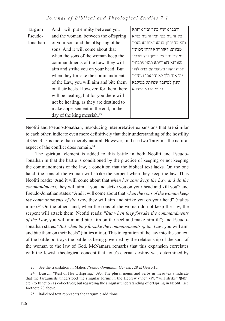*Journal of Biblical and Theological Studies 7.1*

| Targum   | And I will put enmity between you       | ודבבו אישוי בינך ובין איתתא     |
|----------|-----------------------------------------|---------------------------------|
| Pseudo-  | and the woman, between the offspring    | בין זרעית בנך ובין זרעית בנהא   |
| Jonathan | of your sons and the offspring of her   | ויהי כד יהוון בנהא דאיתתא נטרין |
|          | sons. And it will come about that       | מצוותא דאורייתא יהוון מכוונין   |
|          | when the sons of the woman keep the     | ומחיין יתך על רישך וכד שבקין    |
|          | commandments of the Law, they will      | מצוותא דאורייתא תהוי מתכווין    |
|          | aim and strike you on your head. But    | ונכית יתהון בעיקביהון ברם להון  |
|          | when they forsake the commandments      | יהי אסו ולך לא יהי אסו ועתידין  |
|          | of the Law, you will aim and bite them  | הינון למיעבד שפיותא בעיקבא      |
|          | on their heels. However, for them there | ביומי מלכא משיחא                |
|          | will be healing, but for you there will |                                 |
|          | not be healing, as they are destined to |                                 |
|          | make appeasement in the end, in the     |                                 |
|          | day of the king messiah. $^{23}$        |                                 |

Neofiti and Pseudo-Jonathan, introducing interpretative expansions that are similar to each other, indicate even more definitively that their understanding of the hostility at Gen 3:15 is more than merely natural. However, in these two Targums the natural aspect of the conflict does remain.<sup>24</sup>

The spiritual element is added to this battle in both Neofiti and Pseudo-Jonathan in that the battle is conditioned by the practice of keeping or not keeping the commandments of the law, a condition that the biblical text lacks. On the one hand, the sons of the woman will strike the serpent when they keep the law. Thus Neofiti reads: "And it will come about that *when her sons keep the Law and do the commandments*, they will aim at you and strike you on your head and kill you"; and Pseudo-Jonathan states: "And it will come about that *when the sons of the woman keep the commandments of the La*w, they will aim and strike you on your head" (italics mine).<sup>25</sup> On the other hand, when the sons of the woman do not keep the law, the serpent will attack them. Neofiti reads: "*But when they forsake the commandments of the Law*, you will aim and bite him on the heel and make him ill"; and Pseudo-Jonathan states: "*But when they forsake the commandments of the Law,* you will aim and bite them on their heels" (italics mine). This integration of the law into the context of the battle portrays the battle as being governed by the relationship of the sons of the woman to the law of God. McNamara remarks that this expansion correlates with the Jewish theological concept that "one's eternal destiny was determined by

25. Italicized text represents the targumic additions.

<sup>23</sup>. See the translation in Maher, *Pseudo-Jonathan: Genesis*, 28 at Gen 3:15.

<sup>24</sup>. Buisch, "Rest of Her Offspring," 393. The plural nouns and verbs in these texts indicate that the targumists understood the singular forms in the Hebrew ("he" וּאוּהָ, "will strike" לְשׁוּכָּךְ; etc.) to function as collectives; but regarding the singular understanding of offspring in Neofiti, see footnote 20 above.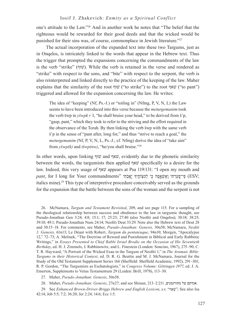one's attitude to the Law."26 And in another work he notes that "The belief that the righteous would be rewarded for their good deeds and that the wicked would be punished for their sins was, of course, commonplace in Jewish literature."27

The actual incorporation of the expanded text into these two Targums, just as in Onqelos, is intricately linked to the words that appear in the Hebrew text. Thus the trigger that prompted the expansions concerning the commandments of the law is the verb "strike" (שׁוֹף). While the verb is retained in the verse and rendered as "strike" with respect to the sons, and "bite" with respect to the serpent, the verb is also reinterpreted and linked directly to the practice of the keeping of the law. Maher explains that the similarity of the root  $\psi$  ("to strike") to the root  $\psi$ " ("to pant") triggered and allowed for the expansion concerning the law. He writes:

The idea of "keeping" (Nf, Ps.-J.) or "toiling in" (Nfmg, P, V, N, L) the Law seems to have been introduced into this verse because the *meturgemanim* took the verb šwp in *yšwpk r'š*, "he shall bruise your head," to be derived from š'p, "gasp, pant," which they took to refer to the striving and the effort required in the observance of the Torah. By then linking the verb šwp with the same verb š'p in the sense of "pant after, long for," and thus "strive to reach a goal," the *meturgemanim* (Nf, P, V, N, L, Ps.-J.; cf. Nfmg) derive the idea of "take aim" from *yšwp(k)* and *tšwp(nw)*, "he/you shall bruise."28

In other words, upon linking וףּשׁ and שאףׁ, evidently due to the phonetic similarity between the words, the targumists then applied שאףׁ specifically to a desire for the law. Indeed, this very usage of שאףׁ appears at Psa 119:131: "I open my mouth and ;ESV (֭ פִּֽי־פָעַרְ תִּי וָאֶשְׁאָ֑ ֖ פָה כִּי לְמִצְֹותֶ֣יָך יָאָ ֽבְתִּי "commandments Your for long I for ,*pant* italics mine).29 This type of interpretive procedure conceivably served as the grounds for the expansion that the battle between the sons of the woman and the serpent is not

26. McNamara, *Targum and Testament Revisited*, 209, and see page 115. For a sampling of the theological relationship between success and obedience to the law in targumic thought, see Pseudo-Jonathan Gen 3:24; 4:8; 15:1; 17; 25:23; 27:40 (also Neofiti and Onqelos); 30:18; 38:25; 39:10; 49:1; Pseudo-Jonathan Num 24:14; Neofiti Deut 33:29. Note also the Hebrew text of Deut 28 and 30:15–18. For comments, see Maher, *Pseudo-Jonathan: Genesis,* 30n58; McNamara, *Neofiti 1: Genesis,* 61n13; Le Déaut with Robert, *Targum du pentateuque*, 94n10; Morgen, "Apocalypse 12," 72–73; A. Melinek, "The Doctrine of Reward and Punishment in Biblical and Early Rabbinic Writings," in *Essays Presented to Chief Rabbi Israel Brodie on the Occasion of His Seventieth Birthday*, ed. H. J. Zimmels, J. Rabbinowitz, and L. Finestein (London: Soncino, 1967), 275–90; C. T. R. Hayward, "A Portrait of the Wicked Esau in the Targum of Neofiti 1," in *The Aramaic Bible: Targums in their Historical Context*, ed. D. R. G. Beattie and M. J. McNamara, Journal for the Study of the Old Testament Supplement Series 166 (Sheffield: Sheffield Academic, 1992), 291–301; R. P. Gordon, "The Targumists as Eschatologists," in *Congress Volume: Göttingen 1977*, ed. J. A. Emerton, Supplements to Vetus Testamentum 29 (Leiden: Brill, 1978), 113–30.

27. Maher, *Pseudo-Jonathan: Genesis*, 30n58.

28. Maher, *Pseudo-Jonathan: Genesis*, 27n27; and see Shinan, 213–2:211 ,מתורגמנים של אגדתם.

29. See *Enhanced Brown-Driver-Briggs Hebrew and English Lexicon*, s.v. "אֲשָׁבָּוֹ"; See also Isa 42:14; Job 5:5; 7:2; 36:20; Jer 2:24; 14:6; Ecc 1:5.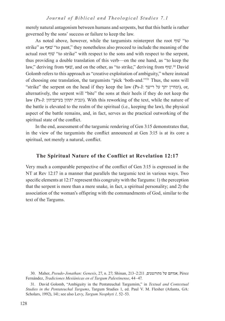merely natural antagonism between humans and serpents, but that this battle is rather governed by the sons' success or failure to keep the law.

As noted above, however, while the targumists reinterpret the root שׁוּף "to" strike" as שאףׁ" to pant," they nonetheless also proceed to include the meaning of the actual root וףּשׁ" to strike" with respect to the sons and with respect to the serpent, thus providing a double translation of this verb—on the one hand, as "to keep the law," deriving from שאף, and on the other, as "to strike," deriving from שוף <sup>30</sup> David Golomb refers to this approach as "creative exploitation of ambiguity," where instead of choosing one translation, the targumists "pick 'both-and.'"31 Thus, the sons will "strike" the serpent on the head if they keep the law (Ps-J: ומחיין יתך על רישך), or, alternatively, the serpent will "bite" the sons at their heels if they do not keep the law (Ps-J: ונכית יתהון בעיקביהון). With this reworking of the text, while the nature of the battle is elevated to the realm of the spiritual (i.e., keeping the law), the physical aspect of the battle remains, and, in fact, serves as the practical outworking of the spiritual state of the conflict.

In the end, assessment of the targumic rendering of Gen 3:15 demonstrates that, in the view of the targumists the conflict announced at Gen 3:15 is at its core a spiritual, not merely a natural, conflict.

# **The Spiritual Nature of the Conflict at Revelation 12:17**

Very much a comparable perspective of the conflict of Gen 3:15 is expressed in the NT at Rev 12:17 in a manner that parallels the targumic text in various ways. Two specific elements at 12:17 represent this congruity with the Targums: 1) the perception that the serpent is more than a mere snake, in fact, a spiritual personality; and 2) the association of the woman's offspring with the commandments of God, similar to the text of the Targums.

31. David Golomb, "Ambiguity in the Pentateuchal Targumim," in *Textual and Contextual Studies in the Pentateuchal Targums*, Targum Studies 1, ed. Paul V. M. Flesher (Atlanta, GA: Scholars, 1992), 141; see also Levy, *Targum Neophyti 1,* 52–53.

<sup>30.</sup> Maher, Pseudo-Jonathan: Genesis, 27, n. 27; Shinan, 213-2:211 מתורגמנים, Pérez Fernández, *Tradiciones Mesiánicas en el Targum Palestinense*, 44–47.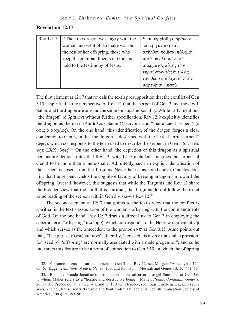# **Revelation 12:17**

| Rev 12:17 | <sup>17</sup> Then the dragon was angry with the | <sup>17</sup> καὶ ώργίσθη ὁ δράκων |
|-----------|--------------------------------------------------|------------------------------------|
|           | woman and went off to make war on                | έπι τη γυναικί και                 |
|           | the rest of her offspring, those who             | άπῆλθεν ποιῆσαι πόλεμον            |
|           | keep the commandments of God and                 | μετά τῶν λοιπῶν τοῦ                |
|           | hold to the testimony of Jesus.                  | σπέρματος αύτης τών                |
|           |                                                  | τηρούντων τὰς ἐντολὰς              |
|           |                                                  | τοῦ θεοῦ καὶ ἐχόντων τὴν           |
|           |                                                  | μαρτυρίαν Ίησου.                   |

The first element at 12:17 that reveals the text's presupposition that the conflict of Gen 3:15 is spiritual is the perspective of Rev 12 that the serpent of Gen 3 and the devil, Satan, and the dragon are one and the same spiritual personality. While 12:17 mentions "the dragon" (ὁ δράκων) without further specification, Rev 12:9 explicitly identifies the dragon as the devil (Διάβολος), Satan (Σατανᾶς), and "that ancient serpent" (ο ὄφις ὁ ἀρχαῖος). On the one hand, this identification of the dragon forges a clear connection to Gen 3, in that the dragon is described with the lexical term "serpent" (ὄφις), which corresponds to the term used to describe the serpent in Gen 3 (cf. Heb: עֲחָשׁ; LXX: ὄφις).<sup>32</sup> On the other hand, the depiction of this dragon as a spiritual personality demonstrates that Rev 12, with 12:17 included, imagines the serpent of Gen 3 to be more than a mere snake. Admittedly, such an explicit identification of the serpent is absent from the Targums. Nevertheless, as noted above, Onqelos does hint that the serpent wields the cognitive faculty of keeping antagonism toward the offspring. Overall, however, this suggests that while the Targums and Rev 12 share the broader view that the conflict is spiritual, the Targums do not follow the exact same reading of the serpent within Gen 3 vis-à-vis Rev 12.<sup>33</sup>

The second element at 12:17 that points to the text's view that the conflict is spiritual is the text's association of the woman's offspring with the commandments of God. On the one hand, Rev 12:17 draws a direct link to Gen 3 in employing the specific term "offspring" (σπέρμα), which corresponds to the Hebrew equivalent  $\mathbf{I}$ and which serves as the antecedent to the pronoun ואּה at Gen 3:15. Aune points out that, "The phrase τὸ σπέρμα αὐτῆς, literally, 'her seed,' is a very unusual expression, for 'seed' or 'offspring' are normally associated with a male progenitor"; and so he interprets this feature to be a point of connection to Gen 3:15, in which the offspring

32. For some discussion on the serpent in Gen 3 and Rev 12, see Morgen, "Apocalypse 12," 65–67; Kugel, *Traditions of the Bible*, 98–100; and Johnston, "Messiah and Genesis 3:15," 461–63.

33. But note Pseudo-Jonathan's introduction of the adversarial angel Sammael at Gen 3:6, to whom Maher refers as a "hostile and destructive being" (Maher, *Pseudo-Jonathan: Genesis*, 26n8). See Pseudo-Jonathan Gen 4:1; and for further reference, see Louis Ginzberg, *Legends of the Jews*, 2nd ed., trans. Henrietta Szold and Paul Radin (Philadelphia: Jewish Publication Society of America, 2003), 2:1389–90.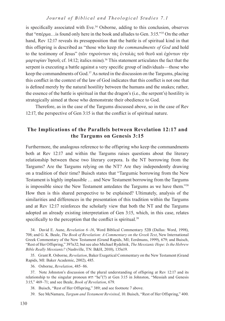is specifically associated with Eve.<sup>34</sup> Osborne, adding to this conclusion, observes that "σπέρμα…is found only here in the book and alludes to Gen. 3:15."35 On the other hand, Rev 12:17 reveals its presupposition that the battle is of spiritual kind in that this offspring is described as "those who keep *the commandments of God* and hold to the testimony of Jesus" (τῶν τηρούντων τὰς ἐντολὰς τοῦ θεοῦ καὶ ἐχόντων τὴν μαρτυρίαν Ίησοῦ; cf. 14:12; italics mine).<sup>36</sup> This statement articulates the fact that the serpent is executing a battle against a very specific group of individuals—those who keep the commandments of God. $37$  As noted in the discussion on the Targums, placing this conflict in the context of the law of God indicates that this conflict is not one that is defined merely by the natural hostility between the humans and the snakes; rather, the essence of the battle is spiritual in that the dragon's (i.e., the serpent's) hostility is strategically aimed at those who demonstrate their obedience to God.

Therefore, as in the case of the Targums discussed above, so in the case of Rev 12:17, the perspective of Gen 3:15 is that the conflict is of spiritual nature.

# **The Implications of the Parallels between Revelation 12:17 and the Targums on Genesis 3:15**

Furthermore, the analogous reference to the offspring who keep the commandments both at Rev 12:17 and within the Targums raises questions about the literary relationship between these two literary corpora. Is the NT borrowing from the Targums? Are the Targums relying on the NT? Are they independently drawing on a tradition of their time? Buisch states that "Targumic borrowing from the New Testament is highly implausible … and New Testament borrowing from the Targums is impossible since the New Testament antedates the Targums as we have them."38 How then is this shared perspective to be explained? Ultimately, analysis of the similarities and differences in the presentation of this tradition within the Targums and at Rev 12:17 reinforces the scholarly view that both the NT and the Targums adopted an already existing interpretation of Gen 3:15, which, in this case, relates specifically to the perception that the conflict is spiritual.<sup>39</sup>

34. David E. Aune, *Revelation 6–16*, Word Biblical Commentary 52B (Dallas: Word, 1998), 708; and G. K. Beale, *The Book of Revelation: A Commentary on the Greek Text*, New International Greek Commentary of the New Testament (Grand Rapids, MI; Eerdmans, 1999), 679; and Buisch, "Rest of Her Offspring," 397n32; but see also Michael Rydelnik, *The Messianic Hope: Is the Hebrew Bible Really Messianic?* (Nashville, TN: B&H, 2010), 135n19.

35. Grant R. Osborne, *Revelation*, Baker Exegetical Commentary on the New Testament (Grand Rapids, MI: Baker Academic, 2002), 485.

36. Osborne, *Revelation*, 485–86.

37. Note Johnston's discussion of the plural understanding of offspring at Rev 12:17 and its relationship to the singular pronoun ואּה" he"(?) at Gen 3:15 in Johnston, "Messiah and Genesis 3:15," 469–71; and see Beale, *Book of Revelation*, 679.

38. Buisch, "Rest of Her Offspring," 389; and see footnote 7 above.

39. See McNamara, *Targum and Testament Revisited*, 10. Buisch, "Rest of Her Offspring," 400.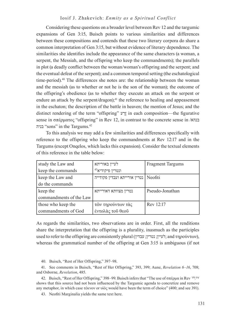## Iosif J. Zhakevich: *Enmity as a Spiritual Conflict*

Considering these questions on a broader level between Rev 12 and the targumic expansions of Gen 3:15, Buisch points to various similarities and differences between these compositions and contends that these two literary corpora do share a common interpretation of Gen 3:15, but without evidence of literary dependence. The similarities she identifies include the appearance of the same characters (a woman, a serpent, the Messiah, and the offspring who keep the commandments); the parallels in plot (a deadly conflict between the woman/woman's offspring and the serpent; and the eventual defeat of the serpent); and a common temporal setting (the eschatological time-period).<sup>40</sup> The differences she notes are: the relationship between the woman and the messiah (as to whether or not he is the son of the woman); the outcome of the offspring's obedience (as to whether they execute an attack on the serpent or endure an attack by the serpent/dragon);<sup>41</sup> the reference to healing and appeasement in the eschaton; the description of the battle in heaven; the mention of Jesus; and the distinct rendering of the term "offspring"  $\gamma$ יָדע in each composition—the figurative sense in σπέρματος "offspring" in Rev 12, in contrast to the concrete sense in /בנהא בניה" sons" in the Targums.42

To this analysis we may add a few similarities and differences specifically with reference to the offspring who keep the commandments at Rev 12:17 and in the Targums (except Onqelos, which lacks this expansion). Consider the textual elements of this reference in the table below:

| study the Law and       | לעיין באוריתא                | <b>Fragment Targums</b> |
|-------------------------|------------------------------|-------------------------|
| keep the commands       | $^{43}$ ונטרין פיקודיא       |                         |
| keep the Law and        | נטרין אורייתא ועבדין פקודייה | Neofiti                 |
| do the commands         |                              |                         |
| keep the                | נטרין מצוותא דאורייתא        | Pseudo-Jonathan         |
| commandments of the Law |                              |                         |
| those who keep the      | τῶν τηρούντων τὰς            | Rev 12:17               |
| commandments of God     | έντολάς του θεού             |                         |

As regards the similarities, two observations are in order. First, all the renditions share the interpretation that the offspring is a plurality, inasmuch as the participles used to refer to the offspring are consistently plural (עבדין; נטרין; לעיין ;and τηρούντων), whereas the grammatical number of the offspring at Gen 3:15 is ambiguous (if not

40. Buisch, "Rest of Her Offspring," 397–98.

41. See comments in Buisch, "Rest of Her Offspring," 393, 399; Aune, *Revelation 6–16*, 708; and Osborne, *Revelation*, 485.

42. Buisch, "Rest of Her Offspring," 398–99. Buisch infers that "The use of σπέρμα in Rev 12:17 shows that this source had not been influenced by the Targumic agenda to concretize and remove any metaphor, in which case τέκνον or υἱός would have been the term of choice" (400; and see 391).

43. Neofiti Marginalia yields the same text here.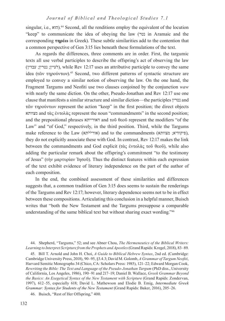singular, i.e., הוא $^{14}$  Second, all the renditions employ the equivalent of the locution "keep" to communicate the idea of obeying the law (נטר in Aramaic and the corresponding **τηρέω** in Greek). These subtle similarities add to the contention that a common perspective of Gen 3:15 lies beneath these formulations of the text.

As regards the differences, three comments are in order. First, the targumic texts all use verbal participles to describe the offspring's act of observing the law (עבדין; נטרין; לעיין(, while Rev 12:17 uses an attributive participle to convey the same idea (τῶν τηρούντων).<sup>45</sup> Second, two different patterns of syntactic structure are employed to convey a similar notion of observing the law. On the one hand, the Fragment Targums and Neofiti use two clauses conjoined by the conjunction *waw* with nearly the same diction. On the other, Pseudo-Jonathan and Rev 12:17 use one clause that manifests a similar structure and similar diction—the participles נטרין and τῶν τηρούντων represent the action "keep" in the first position; the direct objects מצוותא and τὰς ἐντολὰς represent the noun "commandments" in the second position; and the prepositional phrases דאורייתא and τοῦ θεοῦ represent the modifiers "of the Law" and "of God," respectively, in the third position. Third, while the Targums make reference to the Law (אורי<sup>[5]</sup>ארי (אורי און) and to the commandments (פיקודיא; מצוותא), they do not explicitly associate these with God. In contrast, Rev 12:17 makes the link between the commandments and God explicit (τὰς ἐντολὰς τοῦ θεοῦ), while also adding the particular remark about the offspring's commitment "to the testimony of Jesus" (τὴν μαρτυρίαν Ἰησοῦ). Thus the distinct features within each expression of the text exhibit evidence of literary independence on the part of the author of each composition.

In the end, the combined assessment of these similarities and differences suggests that, a common tradition of Gen 3:15 does seems to sustain the renderings of the Targums and Rev 12:17; however, literary dependence seems not to be in effect between these compositions. Articulating this conclusion in a helpful manner, Buisch writes that "both the New Testament and the Targums presuppose a comparable understanding of the same biblical text but without sharing exact wording."46

45. Bill T. Arnold and John H. Choi, *A Guide to Biblical Hebrew Syntax*, 2nd ed. (Cambridge: Cambridge University Press, 2018), 90–95, §3.4.3; David M. Golomb, *A Grammar of Targum Neofiti*, Harvard Semitic Monographs 34 (Chico, CA: Scholars Press: 1985), 121–22; Edward Morgan Cook, *Rewriting the Bible: The Text and Language of the Pseudo-Jonathan Targum* (PhD diss., University of California, Los Angeles, 1986), 190–91 and 217–19; Daniel B. Wallace, *Greek Grammar Beyond the Basics: An Exegetical Syntax of the New Testament with Scripture* (Grand Rapids: Zondervan, 1997), 612–55, especially 618; David L. Mathewson and Elodie B. Emig, *Intermediate Greek Grammar: Syntax for Students of the New Testament* (Grand Rapids: Baker, 2016), 205–26.

46. Buisch, "Rest of Her Offspring," 400.

<sup>44</sup>. Shepherd, "Targums," 52; and see Abner Chou, *The Hermeneutics of the Biblical Writers: Learning to Interpret Scripture from the Prophets and Apostles* (Grand Rapids: Kregel, 2018), 83–89.